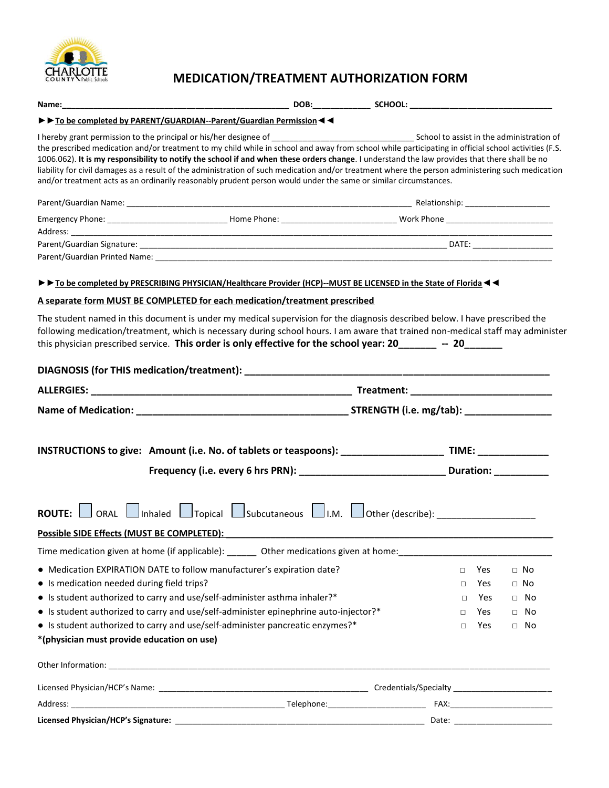

# **MEDICATION/TREATMENT AUTHORIZATION FORM**

|                                            | To be completed by PARENT/GUARDIAN--Parent/Guardian Permission <                                                                                                                                                                                                                                                                                                                                                                                                                                                                                                            |                                                      |        |     |                                 |  |
|--------------------------------------------|-----------------------------------------------------------------------------------------------------------------------------------------------------------------------------------------------------------------------------------------------------------------------------------------------------------------------------------------------------------------------------------------------------------------------------------------------------------------------------------------------------------------------------------------------------------------------------|------------------------------------------------------|--------|-----|---------------------------------|--|
|                                            | the prescribed medication and/or treatment to my child while in school and away from school while participating in official school activities (F.S.<br>1006.062). It is my responsibility to notify the school if and when these orders change. I understand the law provides that there shall be no<br>liability for civil damages as a result of the administration of such medication and/or treatment where the person administering such medication<br>and/or treatment acts as an ordinarily reasonably prudent person would under the same or similar circumstances. |                                                      |        |     |                                 |  |
|                                            |                                                                                                                                                                                                                                                                                                                                                                                                                                                                                                                                                                             |                                                      |        |     |                                 |  |
|                                            |                                                                                                                                                                                                                                                                                                                                                                                                                                                                                                                                                                             | <u> 1980 - Johann Stoff, Amerikaansk politiker (</u> |        |     |                                 |  |
|                                            |                                                                                                                                                                                                                                                                                                                                                                                                                                                                                                                                                                             |                                                      |        |     |                                 |  |
|                                            | To be completed by PRESCRIBING PHYSICIAN/Healthcare Provider (HCP)--MUST BE LICENSED in the State of Florida <                                                                                                                                                                                                                                                                                                                                                                                                                                                              |                                                      |        |     |                                 |  |
|                                            | A separate form MUST BE COMPLETED for each medication/treatment prescribed                                                                                                                                                                                                                                                                                                                                                                                                                                                                                                  |                                                      |        |     |                                 |  |
|                                            | following medication/treatment, which is necessary during school hours. I am aware that trained non-medical staff may administer<br>this physician prescribed service. This order is only effective for the school year: 20 ______ -- 20                                                                                                                                                                                                                                                                                                                                    |                                                      |        |     |                                 |  |
|                                            |                                                                                                                                                                                                                                                                                                                                                                                                                                                                                                                                                                             |                                                      |        |     |                                 |  |
|                                            |                                                                                                                                                                                                                                                                                                                                                                                                                                                                                                                                                                             |                                                      |        |     |                                 |  |
|                                            |                                                                                                                                                                                                                                                                                                                                                                                                                                                                                                                                                                             |                                                      |        |     |                                 |  |
|                                            | Frequency (i.e. every 6 hrs PRN): _________________________________Duration: ___________                                                                                                                                                                                                                                                                                                                                                                                                                                                                                    |                                                      |        |     |                                 |  |
| Possible SIDE Effects (MUST BE COMPLETED): |                                                                                                                                                                                                                                                                                                                                                                                                                                                                                                                                                                             |                                                      |        |     |                                 |  |
|                                            | Time medication given at home (if applicable): ________ Other medications given at home: ___________                                                                                                                                                                                                                                                                                                                                                                                                                                                                        |                                                      |        |     |                                 |  |
|                                            | • Medication EXPIRATION DATE to follow manufacturer's expiration date?                                                                                                                                                                                                                                                                                                                                                                                                                                                                                                      |                                                      | $\Box$ | Yes | $\Box$ No                       |  |
| • Is medication needed during field trips? |                                                                                                                                                                                                                                                                                                                                                                                                                                                                                                                                                                             |                                                      | $\Box$ | Yes | $\Box$ No                       |  |
|                                            | • Is student authorized to carry and use/self-administer asthma inhaler?*                                                                                                                                                                                                                                                                                                                                                                                                                                                                                                   |                                                      | □      | Yes | $\Box$ No                       |  |
|                                            | • Is student authorized to carry and use/self-administer epinephrine auto-injector?*                                                                                                                                                                                                                                                                                                                                                                                                                                                                                        |                                                      | $\Box$ | Yes | $\Box$ No                       |  |
|                                            | • Is student authorized to carry and use/self-administer pancreatic enzymes?*                                                                                                                                                                                                                                                                                                                                                                                                                                                                                               |                                                      | $\Box$ | Yes | $\Box$ No                       |  |
| *(physician must provide education on use) |                                                                                                                                                                                                                                                                                                                                                                                                                                                                                                                                                                             |                                                      |        |     |                                 |  |
|                                            |                                                                                                                                                                                                                                                                                                                                                                                                                                                                                                                                                                             |                                                      |        |     |                                 |  |
|                                            |                                                                                                                                                                                                                                                                                                                                                                                                                                                                                                                                                                             |                                                      |        |     |                                 |  |
|                                            |                                                                                                                                                                                                                                                                                                                                                                                                                                                                                                                                                                             |                                                      |        |     |                                 |  |
|                                            |                                                                                                                                                                                                                                                                                                                                                                                                                                                                                                                                                                             |                                                      |        |     | Date: _________________________ |  |